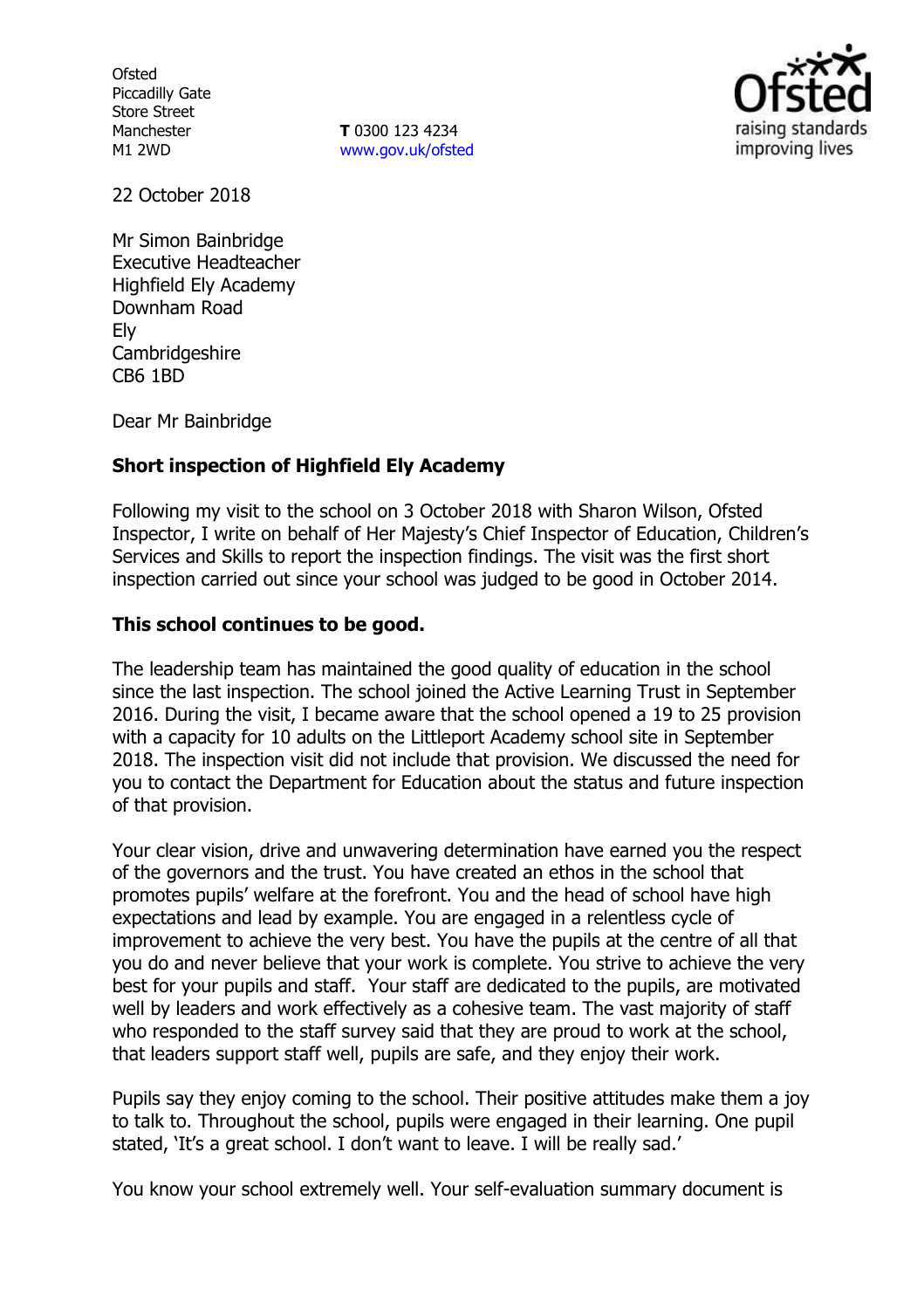**Ofsted** Piccadilly Gate Store Street Manchester M1 2WD

**T** 0300 123 4234 www.gov.uk/ofsted



22 October 2018

Mr Simon Bainbridge Executive Headteacher Highfield Ely Academy Downham Road Ely Cambridgeshire CB6 1BD

Dear Mr Bainbridge

### **Short inspection of Highfield Ely Academy**

Following my visit to the school on 3 October 2018 with Sharon Wilson, Ofsted Inspector, I write on behalf of Her Majesty's Chief Inspector of Education, Children's Services and Skills to report the inspection findings. The visit was the first short inspection carried out since your school was judged to be good in October 2014.

### **This school continues to be good.**

The leadership team has maintained the good quality of education in the school since the last inspection. The school joined the Active Learning Trust in September 2016. During the visit, I became aware that the school opened a 19 to 25 provision with a capacity for 10 adults on the Littleport Academy school site in September 2018. The inspection visit did not include that provision. We discussed the need for you to contact the Department for Education about the status and future inspection of that provision.

Your clear vision, drive and unwavering determination have earned you the respect of the governors and the trust. You have created an ethos in the school that promotes pupils' welfare at the forefront. You and the head of school have high expectations and lead by example. You are engaged in a relentless cycle of improvement to achieve the very best. You have the pupils at the centre of all that you do and never believe that your work is complete. You strive to achieve the very best for your pupils and staff. Your staff are dedicated to the pupils, are motivated well by leaders and work effectively as a cohesive team. The vast majority of staff who responded to the staff survey said that they are proud to work at the school, that leaders support staff well, pupils are safe, and they enjoy their work.

Pupils say they enjoy coming to the school. Their positive attitudes make them a joy to talk to. Throughout the school, pupils were engaged in their learning. One pupil stated, 'It's a great school. I don't want to leave. I will be really sad.'

You know your school extremely well. Your self-evaluation summary document is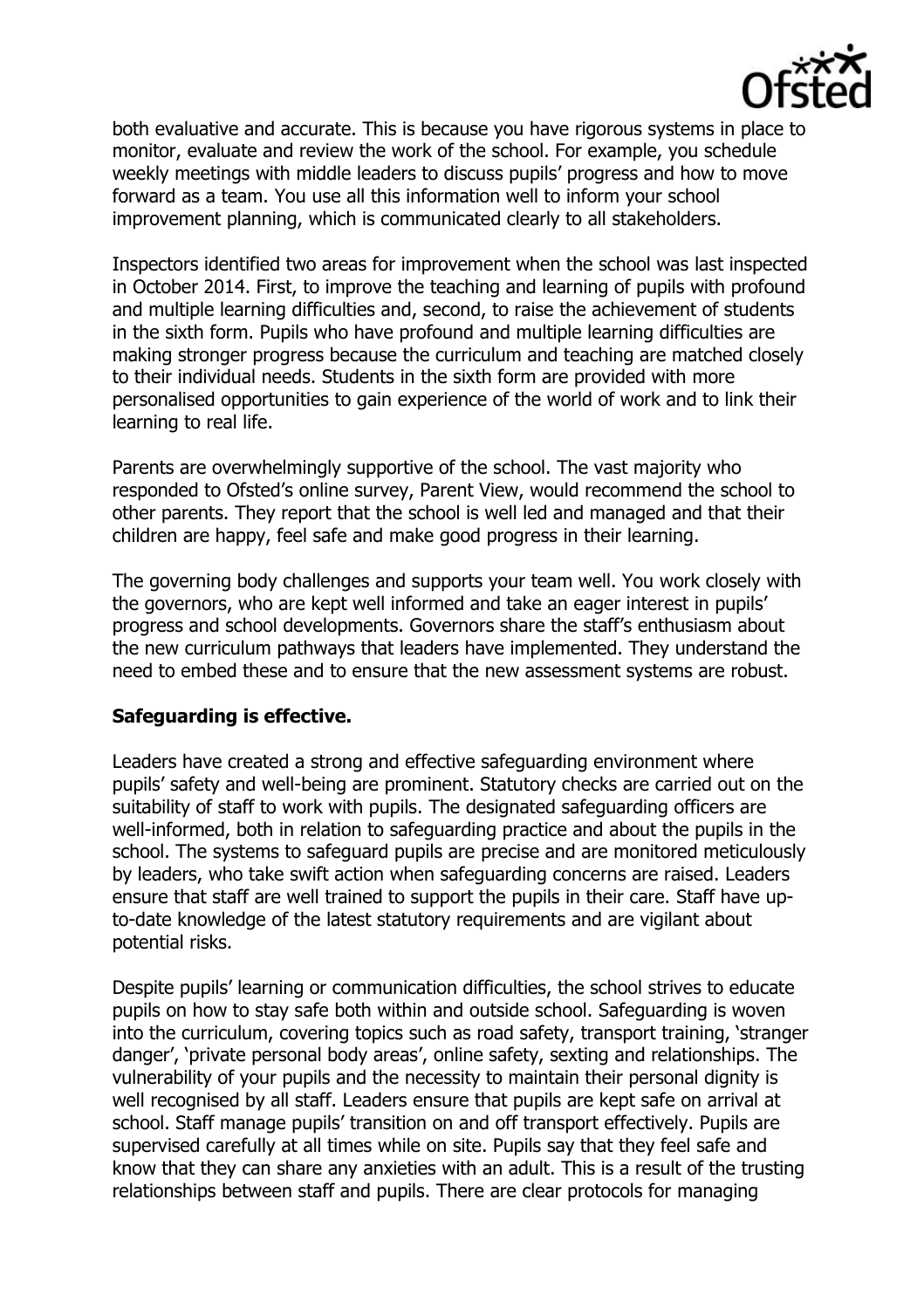

both evaluative and accurate. This is because you have rigorous systems in place to monitor, evaluate and review the work of the school. For example, you schedule weekly meetings with middle leaders to discuss pupils' progress and how to move forward as a team. You use all this information well to inform your school improvement planning, which is communicated clearly to all stakeholders.

Inspectors identified two areas for improvement when the school was last inspected in October 2014. First, to improve the teaching and learning of pupils with profound and multiple learning difficulties and, second, to raise the achievement of students in the sixth form. Pupils who have profound and multiple learning difficulties are making stronger progress because the curriculum and teaching are matched closely to their individual needs. Students in the sixth form are provided with more personalised opportunities to gain experience of the world of work and to link their learning to real life.

Parents are overwhelmingly supportive of the school. The vast majority who responded to Ofsted's online survey, Parent View, would recommend the school to other parents. They report that the school is well led and managed and that their children are happy, feel safe and make good progress in their learning.

The governing body challenges and supports your team well. You work closely with the governors, who are kept well informed and take an eager interest in pupils' progress and school developments. Governors share the staff's enthusiasm about the new curriculum pathways that leaders have implemented. They understand the need to embed these and to ensure that the new assessment systems are robust.

### **Safeguarding is effective.**

Leaders have created a strong and effective safeguarding environment where pupils' safety and well-being are prominent. Statutory checks are carried out on the suitability of staff to work with pupils. The designated safeguarding officers are well-informed, both in relation to safeguarding practice and about the pupils in the school. The systems to safeguard pupils are precise and are monitored meticulously by leaders, who take swift action when safeguarding concerns are raised. Leaders ensure that staff are well trained to support the pupils in their care. Staff have upto-date knowledge of the latest statutory requirements and are vigilant about potential risks.

Despite pupils' learning or communication difficulties, the school strives to educate pupils on how to stay safe both within and outside school. Safeguarding is woven into the curriculum, covering topics such as road safety, transport training, 'stranger danger', 'private personal body areas', online safety, sexting and relationships. The vulnerability of your pupils and the necessity to maintain their personal dignity is well recognised by all staff. Leaders ensure that pupils are kept safe on arrival at school. Staff manage pupils' transition on and off transport effectively. Pupils are supervised carefully at all times while on site. Pupils say that they feel safe and know that they can share any anxieties with an adult. This is a result of the trusting relationships between staff and pupils. There are clear protocols for managing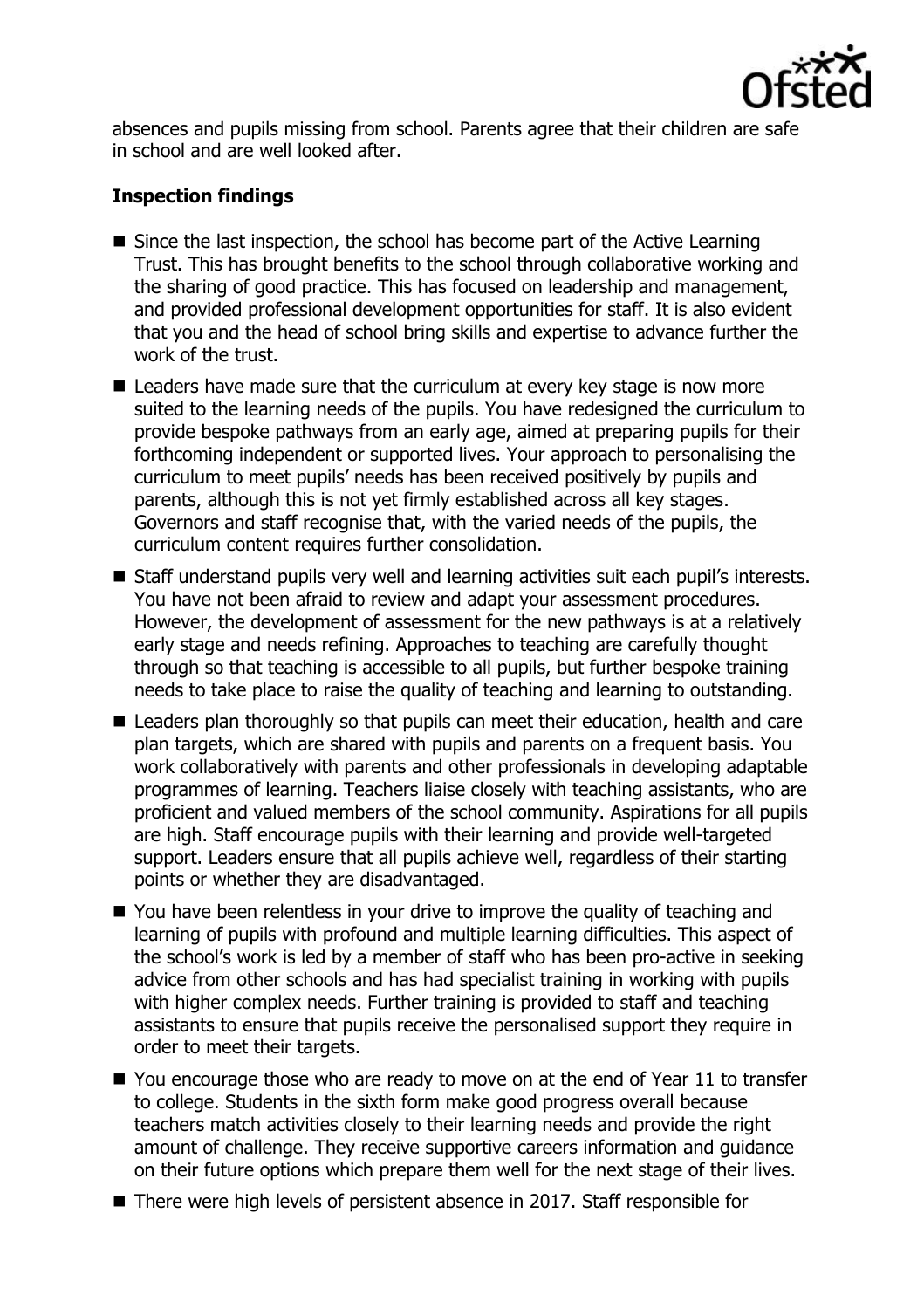

absences and pupils missing from school. Parents agree that their children are safe in school and are well looked after.

## **Inspection findings**

- Since the last inspection, the school has become part of the Active Learning Trust. This has brought benefits to the school through collaborative working and the sharing of good practice. This has focused on leadership and management, and provided professional development opportunities for staff. It is also evident that you and the head of school bring skills and expertise to advance further the work of the trust.
- Leaders have made sure that the curriculum at every key stage is now more suited to the learning needs of the pupils. You have redesigned the curriculum to provide bespoke pathways from an early age, aimed at preparing pupils for their forthcoming independent or supported lives. Your approach to personalising the curriculum to meet pupils' needs has been received positively by pupils and parents, although this is not yet firmly established across all key stages. Governors and staff recognise that, with the varied needs of the pupils, the curriculum content requires further consolidation.
- Staff understand pupils very well and learning activities suit each pupil's interests. You have not been afraid to review and adapt your assessment procedures. However, the development of assessment for the new pathways is at a relatively early stage and needs refining. Approaches to teaching are carefully thought through so that teaching is accessible to all pupils, but further bespoke training needs to take place to raise the quality of teaching and learning to outstanding.
- Leaders plan thoroughly so that pupils can meet their education, health and care plan targets, which are shared with pupils and parents on a frequent basis. You work collaboratively with parents and other professionals in developing adaptable programmes of learning. Teachers liaise closely with teaching assistants, who are proficient and valued members of the school community. Aspirations for all pupils are high. Staff encourage pupils with their learning and provide well-targeted support. Leaders ensure that all pupils achieve well, regardless of their starting points or whether they are disadvantaged.
- You have been relentless in your drive to improve the quality of teaching and learning of pupils with profound and multiple learning difficulties. This aspect of the school's work is led by a member of staff who has been pro-active in seeking advice from other schools and has had specialist training in working with pupils with higher complex needs. Further training is provided to staff and teaching assistants to ensure that pupils receive the personalised support they require in order to meet their targets.
- You encourage those who are ready to move on at the end of Year 11 to transfer to college. Students in the sixth form make good progress overall because teachers match activities closely to their learning needs and provide the right amount of challenge. They receive supportive careers information and guidance on their future options which prepare them well for the next stage of their lives.
- There were high levels of persistent absence in 2017. Staff responsible for